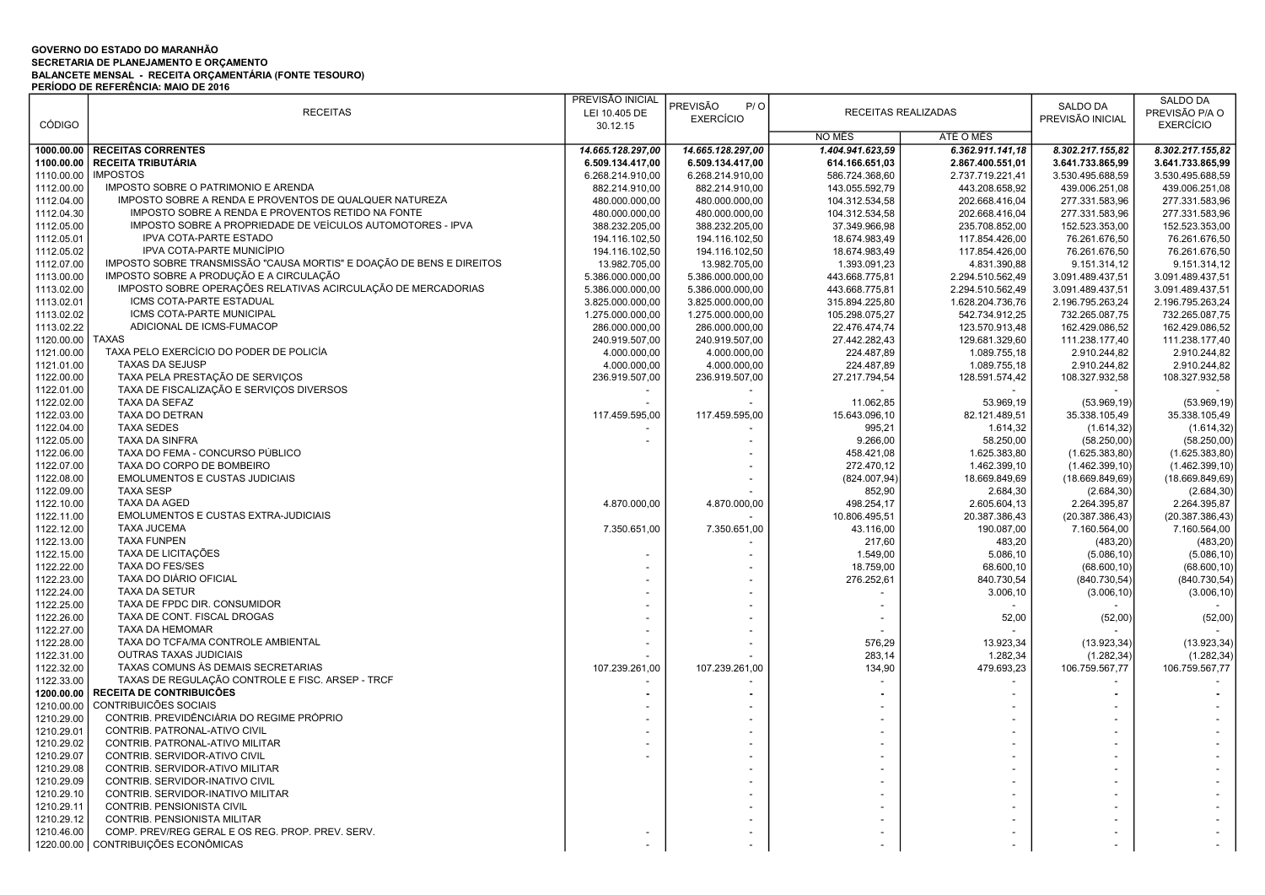## GOVERNO DO ESTADO DO MARANHÃO SECRETARIA DE PLANEJAMENTO E ORÇAMENTO BALANCETE MENSAL - RECEITA ORÇAMENTÁRIA (FONTE TESOURO) PERÍODO DE REFERÊNCIA: MAIO DE 2016

|               |                                                                      | PREVISÃO INICIAL  | <b>PREVISÃO</b><br>P/O |                  |                     | SALDO DA         | <b>SALDO DA</b>  |
|---------------|----------------------------------------------------------------------|-------------------|------------------------|------------------|---------------------|------------------|------------------|
|               | <b>RECEITAS</b>                                                      | LEI 10.405 DE     | <b>EXERCÍCIO</b>       |                  | RECEITAS REALIZADAS | PREVISÃO INICIAL | PREVISÃO P/A O   |
| <b>CÓDIGO</b> |                                                                      | 30.12.15          |                        |                  |                     |                  | <b>EXERCÍCIO</b> |
|               |                                                                      |                   |                        | NO MÊS           | ATÉ O MÊS           |                  |                  |
|               | 1000.00.00 RECEITAS CORRENTES                                        | 14.665.128.297.00 | 14.665.128.297,00      | 1.404.941.623,59 | 6.362.911.141,18    | 8.302.217.155,82 | 8.302.217.155,82 |
| 1100.00.00    | <b>RECEITA TRIBUTÁRIA</b>                                            | 6.509.134.417,00  | 6.509.134.417,00       | 614.166.651,03   | 2.867.400.551,01    | 3.641.733.865,99 | 3.641.733.865,99 |
| 1110.00.00    | <b>IMPOSTOS</b>                                                      | 6.268.214.910,00  | 6.268.214.910,00       | 586.724.368,60   | 2.737.719.221,41    | 3.530.495.688,59 | 3.530.495.688,59 |
| 1112.00.00    | IMPOSTO SOBRE O PATRIMONIO E ARENDA                                  | 882.214.910,00    | 882.214.910,00         | 143.055.592,79   | 443.208.658,92      | 439.006.251,08   | 439.006.251,08   |
| 1112.04.00    | IMPOSTO SOBRE A RENDA E PROVENTOS DE QUALQUER NATUREZA               | 480.000.000,00    | 480.000.000,00         | 104.312.534,58   | 202.668.416,04      | 277.331.583,96   | 277.331.583,96   |
| 1112.04.30    | IMPOSTO SOBRE A RENDA E PROVENTOS RETIDO NA FONTE                    | 480.000.000,00    | 480.000.000,00         | 104.312.534,58   | 202.668.416,04      | 277.331.583,96   | 277.331.583,96   |
| 1112.05.00    | IMPOSTO SOBRE A PROPRIEDADE DE VEÍCULOS AUTOMOTORES - IPVA           | 388.232.205,00    | 388.232.205,00         | 37.349.966,98    | 235.708.852,00      | 152.523.353,00   | 152.523.353,00   |
| 1112.05.01    | IPVA COTA-PARTE ESTADO                                               | 194.116.102,50    | 194.116.102,50         | 18.674.983,49    | 117.854.426,00      | 76.261.676,50    | 76.261.676,50    |
| 1112.05.02    | IPVA COTA-PARTE MUNICÍPIO                                            | 194.116.102,50    | 194.116.102,50         | 18.674.983,49    | 117.854.426,00      | 76.261.676,50    | 76.261.676,50    |
| 1112.07.00    | IMPOSTO SOBRE TRANSMISSÃO "CAUSA MORTIS" E DOAÇÃO DE BENS E DIREITOS | 13.982.705,00     | 13.982.705,00          | 1.393.091,23     | 4.831.390,88        | 9.151.314,12     | 9.151.314,12     |
| 1113.00.00    | IMPOSTO SOBRE A PRODUÇÃO E A CIRCULAÇÃO                              | 5.386.000.000,00  | 5.386.000.000,00       | 443.668.775,81   | 2.294.510.562,49    | 3.091.489.437,51 | 3.091.489.437,51 |
| 1113.02.00    | IMPOSTO SOBRE OPERAÇÕES RELATIVAS ACIRCULAÇÃO DE MERCADORIAS         | 5.386.000.000,00  | 5.386.000.000,00       | 443.668.775,81   | 2.294.510.562,49    | 3.091.489.437,51 | 3.091.489.437,51 |
| 1113.02.01    | ICMS COTA-PARTE ESTADUAL                                             | 3.825.000.000,00  | 3.825.000.000,00       | 315.894.225,80   | 1.628.204.736,76    | 2.196.795.263,24 | 2.196.795.263,24 |
| 1113.02.02    | ICMS COTA-PARTE MUNICIPAL                                            | 1.275.000.000,00  | 1.275.000.000,00       | 105.298.075,27   | 542.734.912,25      | 732.265.087,75   | 732.265.087,75   |
| 1113.02.22    | ADICIONAL DE ICMS-FUMACOP                                            | 286.000.000,00    | 286.000.000,00         | 22.476.474,74    | 123.570.913,48      | 162.429.086,52   | 162.429.086,52   |
| 1120.00.00    | <b>TAXAS</b>                                                         | 240.919.507,00    | 240.919.507,00         | 27.442.282,43    | 129.681.329,60      | 111.238.177,40   | 111.238.177,40   |
| 1121.00.00    | TAXA PELO EXERCÍCIO DO PODER DE POLICÍA                              | 4.000.000,00      | 4.000.000,00           | 224.487,89       | 1.089.755,18        | 2.910.244,82     | 2.910.244,82     |
| 1121.01.00    | <b>TAXAS DA SEJUSP</b>                                               | 4.000.000,00      | 4.000.000,00           | 224.487,89       | 1.089.755,18        | 2.910.244,82     | 2.910.244,82     |
| 1122.00.00    | TAXA PELA PRESTAÇÃO DE SERVIÇOS                                      |                   |                        | 27.217.794,54    |                     | 108.327.932,58   | 108.327.932,58   |
|               | TAXA DE FISCALIZAÇÃO E SERVIÇOS DIVERSOS                             | 236.919.507,00    | 236.919.507,00         |                  | 128.591.574,42      |                  |                  |
| 1122.01.00    |                                                                      |                   |                        |                  |                     |                  |                  |
| 1122.02.00    | TAXA DA SEFAZ                                                        |                   |                        | 11.062,85        | 53.969,19           | (53.969, 19)     | (53.969, 19)     |
| 1122.03.00    | TAXA DO DETRAN                                                       | 117.459.595,00    | 117.459.595,00         | 15.643.096,10    | 82.121.489,51       | 35.338.105,49    | 35.338.105,49    |
| 1122.04.00    | <b>TAXA SEDES</b>                                                    |                   |                        | 995,21           | 1.614,32            | (1.614, 32)      | (1.614, 32)      |
| 1122.05.00    | <b>TAXA DA SINFRA</b>                                                |                   |                        | 9.266,00         | 58.250,00           | (58.250,00)      | (58.250,00)      |
| 1122.06.00    | TAXA DO FEMA - CONCURSO PÚBLICO                                      |                   |                        | 458.421,08       | 1.625.383,80        | (1.625.383, 80)  | (1.625.383, 80)  |
| 1122.07.00    | TAXA DO CORPO DE BOMBEIRO                                            |                   |                        | 272.470,12       | 1.462.399,10        | (1.462.399, 10)  | (1.462.399, 10)  |
| 1122.08.00    | <b>EMOLUMENTOS E CUSTAS JUDICIAIS</b>                                |                   |                        | (824.007,94)     | 18.669.849,69       | (18.669.849, 69) | (18.669.849, 69) |
| 1122.09.00    | <b>TAXA SESP</b>                                                     |                   |                        | 852,90           | 2.684,30            | (2.684, 30)      | (2.684, 30)      |
| 1122.10.00    | <b>TAXA DA AGED</b>                                                  | 4.870.000,00      | 4.870.000,00           | 498.254,17       | 2.605.604,13        | 2.264.395,87     | 2.264.395,87     |
| 1122.11.00    | EMOLUMENTOS E CUSTAS EXTRA-JUDICIAIS                                 |                   |                        | 10.806.495,51    | 20.387.386,43       | (20.387.386, 43) | (20.387.386, 43) |
| 1122.12.00    | <b>TAXA JUCEMA</b>                                                   | 7.350.651,00      | 7.350.651,00           | 43.116,00        | 190.087,00          | 7.160.564,00     | 7.160.564,00     |
| 1122.13.00    | <b>TAXA FUNPEN</b>                                                   |                   |                        | 217,60           | 483,20              | (483, 20)        | (483, 20)        |
| 1122.15.00    | TAXA DE LICITAÇÕES                                                   |                   |                        | 1.549,00         | 5.086,10            | (5.086, 10)      | (5.086, 10)      |
| 1122.22.00    | TAXA DO FES/SES                                                      |                   |                        | 18.759,00        | 68.600,10           | (68.600, 10)     | (68.600, 10)     |
| 1122.23.00    | TAXA DO DIÁRIO OFICIAL                                               |                   |                        | 276.252,61       | 840.730,54          | (840.730, 54)    | (840.730, 54)    |
| 1122.24.00    | TAXA DA SETUR                                                        |                   |                        |                  | 3.006,10            | (3.006, 10)      | (3.006, 10)      |
| 1122.25.00    | TAXA DE FPDC DIR. CONSUMIDOR                                         |                   |                        |                  |                     |                  |                  |
| 1122.26.00    | TAXA DE CONT. FISCAL DROGAS                                          |                   |                        |                  | 52,00               | (52,00)          | (52,00)          |
| 1122.27.00    | TAXA DA HEMOMAR                                                      |                   |                        |                  |                     |                  |                  |
| 1122.28.00    | TAXA DO TCFA/MA CONTROLE AMBIENTAL                                   |                   |                        | 576,29           | 13.923,34           | (13.923, 34)     | (13.923, 34)     |
| 1122.31.00    | <b>OUTRAS TAXAS JUDICIAIS</b>                                        |                   |                        | 283,14           | 1.282,34            | (1.282, 34)      | (1.282, 34)      |
| 1122.32.00    | TAXAS COMUNS ÀS DEMAIS SECRETARIAS                                   | 107.239.261,00    | 107.239.261,00         | 134,90           | 479.693,23          | 106.759.567,77   | 106.759.567,77   |
| 1122.33.00    | TAXAS DE REGULAÇÃO CONTROLE E FISC. ARSEP - TRCF                     |                   |                        |                  |                     |                  |                  |
| 1200.00.00    | RECEITA DE CONTRIBUICÕES                                             |                   |                        |                  |                     |                  |                  |
| 1210.00.00    | CONTRIBUICÕES SOCIAIS                                                |                   |                        |                  |                     |                  |                  |
| 1210.29.00    | CONTRIB. PREVIDÊNCIÁRIA DO REGIME PRÓPRIO                            |                   |                        |                  |                     |                  |                  |
| 1210.29.01    | CONTRIB. PATRONAL-ATIVO CIVIL                                        |                   |                        |                  |                     |                  |                  |
| 1210.29.02    | CONTRIB. PATRONAL-ATIVO MILITAR                                      |                   |                        |                  |                     |                  |                  |
| 1210.29.07    | CONTRIB. SERVIDOR-ATIVO CIVIL                                        |                   |                        |                  |                     |                  |                  |
| 1210.29.08    | CONTRIB. SERVIDOR-ATIVO MILITAR                                      |                   |                        |                  |                     |                  |                  |
| 1210.29.09    | CONTRIB. SERVIDOR-INATIVO CIVIL                                      |                   |                        |                  |                     |                  |                  |
| 1210.29.10    | CONTRIB. SERVIDOR-INATIVO MILITAR                                    |                   |                        |                  |                     |                  |                  |
| 1210.29.11    | CONTRIB. PENSIONISTA CIVIL                                           |                   |                        |                  |                     |                  |                  |
| 1210.29.12    | CONTRIB. PENSIONISTA MILITAR                                         |                   |                        |                  |                     |                  |                  |
| 1210.46.00    | COMP. PREV/REG GERAL E OS REG. PROP. PREV. SERV.                     |                   |                        |                  |                     |                  |                  |
|               | 1220.00.00 CONTRIBUIÇÕES ECONÔMICAS                                  |                   |                        |                  |                     |                  |                  |
|               |                                                                      |                   |                        |                  |                     |                  |                  |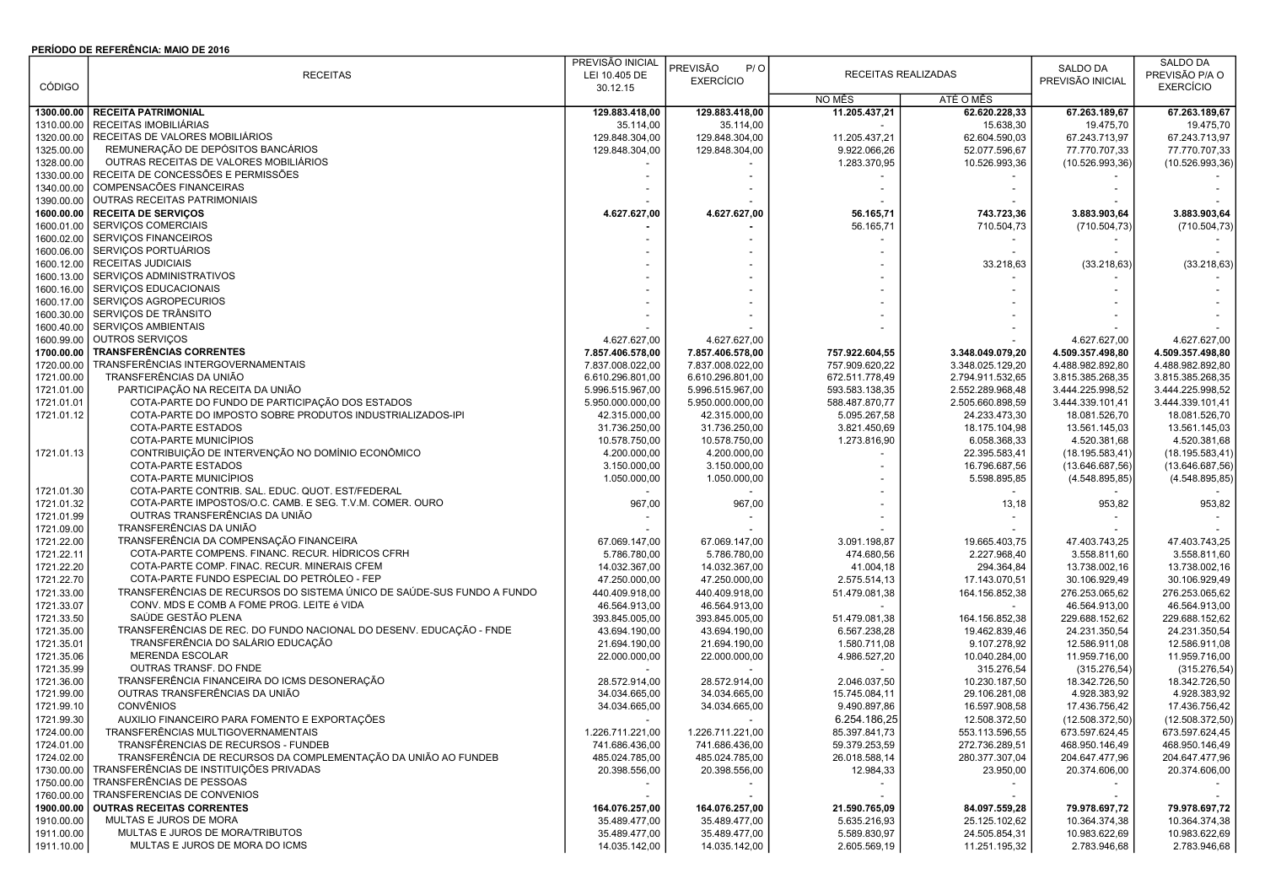## PERÍODO DE REFERÊNCIA: MAIO DE 2016

|               |                                                                        | PREVISÃO INICIAL         |                   |                          |                  |                          | SALDO DA         |
|---------------|------------------------------------------------------------------------|--------------------------|-------------------|--------------------------|------------------|--------------------------|------------------|
|               | <b>RECEITAS</b>                                                        | LEI 10.405 DE            | PREVISÃO<br>P / O | RECEITAS REALIZADAS      |                  | SALDO DA                 | PREVISÃO P/A O   |
| <b>CÓDIGO</b> |                                                                        | 30.12.15                 | <b>EXERCÍCIO</b>  |                          |                  | PREVISÃO INICIAL         | <b>EXERCÍCIO</b> |
|               |                                                                        |                          |                   | NO MÊS                   | ATÉ O MÊS        |                          |                  |
| 1300.00.00    | <b>RECEITA PATRIMONIAL</b>                                             | 129.883.418,00           | 129.883.418,00    | 11.205.437.21            | 62.620.228.33    | 67.263.189.67            | 67.263.189,67    |
| 1310.00.00    | RECEITAS IMOBILIÁRIAS                                                  | 35.114,00                | 35.114,00         |                          | 15.638,30        | 19.475,70                | 19.475,70        |
| 1320.00.00    | RECEITAS DE VALORES MOBILIÁRIOS                                        | 129.848.304,00           | 129.848.304,00    | 11.205.437,21            | 62.604.590,03    | 67.243.713,97            | 67.243.713,97    |
| 1325.00.00    | REMUNERAÇÃO DE DEPÓSITOS BANCÁRIOS                                     | 129.848.304,00           | 129.848.304,00    | 9.922.066,26             | 52.077.596,67    | 77.770.707,33            | 77.770.707,33    |
| 1328.00.00    | OUTRAS RECEITAS DE VALORES MOBILIÁRIOS                                 |                          |                   | 1.283.370,95             | 10.526.993,36    | (10.526.993, 36)         | (10.526.993,36)  |
| 1330.00.00    | RECEITA DE CONCESSÕES E PERMISSÕES                                     |                          |                   |                          |                  |                          |                  |
| 1340.00.00    | COMPENSACÕES FINANCEIRAS                                               |                          |                   |                          |                  |                          |                  |
| 1390.00.00    | OUTRAS RECEITAS PATRIMONIAIS                                           |                          |                   |                          |                  |                          |                  |
| 1600.00.00    | <b>RECEITA DE SERVIÇOS</b>                                             | 4.627.627,00             | 4.627.627,00      | 56.165,71                | 743.723,36       | 3.883.903,64             | 3.883.903,64     |
| 1600.01.00    | SERVIÇOS COMERCIAIS                                                    |                          |                   | 56.165,71                | 710.504,73       | (710.504, 73)            | (710.504, 73)    |
| 1600.02.00    | SERVIÇOS FINANCEIROS                                                   |                          |                   |                          |                  |                          |                  |
| 1600.06.00    | SERVIÇOS PORTUÁRIOS                                                    |                          |                   |                          |                  |                          |                  |
| 1600.12.00    | RECEITAS JUDICIAIS                                                     |                          |                   |                          | 33.218,63        |                          |                  |
| 1600.13.00    | SERVIÇOS ADMINISTRATIVOS                                               |                          |                   |                          |                  | (33.218, 63)             | (33.218, 63)     |
|               |                                                                        |                          |                   |                          |                  |                          |                  |
| 1600.16.00    | SERVIÇOS EDUCACIONAIS                                                  |                          |                   |                          |                  |                          |                  |
| 1600.17.00    | SERVIÇOS AGROPECURIOS                                                  |                          |                   |                          |                  |                          |                  |
| 1600.30.00    | SERVIÇOS DE TRÂNSITO                                                   |                          |                   |                          |                  |                          |                  |
| 1600.40.00    | SERVIÇOS AMBIENTAIS                                                    |                          |                   |                          |                  |                          |                  |
| 1600.99.00    | OUTROS SERVIÇOS                                                        | 4.627.627,00             | 4.627.627,00      |                          |                  | 4.627.627,00             | 4.627.627,00     |
| 1700.00.00    | <b>TRANSFERÊNCIAS CORRENTES</b>                                        | 7.857.406.578,00         | 7.857.406.578,00  | 757.922.604,55           | 3.348.049.079,20 | 4.509.357.498,80         | 4.509.357.498,80 |
| 1720.00.00    | TRANSFERÊNCIAS INTERGOVERNAMENTAIS                                     | 7.837.008.022,00         | 7.837.008.022,00  | 757.909.620,22           | 3.348.025.129,20 | 4.488.982.892,80         | 4.488.982.892,80 |
| 1721.00.00    | TRANSFERÊNCIAS DA UNIÃO                                                | 6.610.296.801,00         | 6.610.296.801,00  | 672.511.778,49           | 2.794.911.532,65 | 3.815.385.268,35         | 3.815.385.268,35 |
| 1721.01.00    | PARTICIPAÇÃO NA RECEITA DA UNIÃO                                       | 5.996.515.967,00         | 5.996.515.967,00  | 593.583.138,35           | 2.552.289.968,48 | 3.444.225.998,52         | 3.444.225.998,52 |
| 1721.01.01    | COTA-PARTE DO FUNDO DE PARTICIPAÇÃO DOS ESTADOS                        | 5.950.000.000,00         | 5.950.000.000,00  | 588.487.870,77           | 2.505.660.898,59 | 3.444.339.101,41         | 3.444.339.101,41 |
| 1721.01.12    | COTA-PARTE DO IMPOSTO SOBRE PRODUTOS INDUSTRIALIZADOS-IPI              | 42.315.000,00            | 42.315.000,00     | 5.095.267,58             | 24.233.473,30    | 18.081.526,70            | 18.081.526,70    |
|               | COTA-PARTE ESTADOS                                                     | 31.736.250,00            | 31.736.250,00     | 3.821.450,69             | 18.175.104,98    | 13.561.145,03            | 13.561.145,03    |
|               | COTA-PARTE MUNICÍPIOS                                                  | 10.578.750,00            | 10.578.750,00     | 1.273.816,90             | 6.058.368,33     | 4.520.381,68             | 4.520.381,68     |
| 1721.01.13    | CONTRIBUIÇÃO DE INTERVENÇÃO NO DOMÍNIO ECONÔMICO                       | 4.200.000,00             | 4.200.000,00      |                          | 22.395.583,41    | (18.195.583, 41)         | (18.195.583,41)  |
|               | COTA-PARTE ESTADOS                                                     | 3.150.000,00             | 3.150.000,00      |                          | 16.796.687,56    | (13.646.687, 56)         | (13.646.687,56)  |
|               | COTA-PARTE MUNICÍPIOS                                                  | 1.050.000,00             | 1.050.000,00      |                          | 5.598.895,85     | (4.548.895, 85)          | (4.548.895, 85)  |
| 1721.01.30    | COTA-PARTE CONTRIB. SAL. EDUC. QUOT. EST/FEDERAL                       |                          |                   |                          |                  |                          |                  |
| 1721.01.32    | COTA-PARTE IMPOSTOS/O.C. CAMB. E SEG. T.V.M. COMER. OURO               | 967,00                   | 967,00            |                          | 13,18            | 953,82                   | 953,82           |
| 1721.01.99    | OUTRAS TRANSFERÊNCIAS DA UNIÃO                                         |                          |                   |                          |                  |                          |                  |
| 1721.09.00    | TRANSFERÊNCIAS DA UNIÃO                                                |                          |                   |                          |                  |                          |                  |
| 1721.22.00    | TRANSFERÊNCIA DA COMPENSAÇÃO FINANCEIRA                                | 67.069.147,00            | 67.069.147,00     | 3.091.198,87             | 19.665.403,75    | 47.403.743,25            | 47.403.743,25    |
| 1721.22.11    | COTA-PARTE COMPENS. FINANC. RECUR. HÍDRICOS CFRH                       | 5.786.780,00             | 5.786.780,00      | 474.680,56               | 2.227.968,40     | 3.558.811,60             | 3.558.811,60     |
| 1721.22.20    | COTA-PARTE COMP. FINAC. RECUR. MINERAIS CFEM                           | 14.032.367,00            | 14.032.367,00     | 41.004,18                | 294.364,84       | 13.738.002,16            | 13.738.002,16    |
| 1721.22.70    | COTA-PARTE FUNDO ESPECIAL DO PETRÓLEO - FEP                            | 47.250.000,00            | 47.250.000,00     | 2.575.514,13             | 17.143.070,51    | 30.106.929,49            | 30.106.929,49    |
| 1721.33.00    | TRANSFERÊNCIAS DE RECURSOS DO SISTEMA ÚNICO DE SAÚDE-SUS FUNDO A FUNDO | 440.409.918,00           | 440.409.918,00    | 51.479.081,38            | 164.156.852,38   | 276.253.065,62           | 276.253.065,62   |
| 1721.33.07    | CONV. MDS E COMB A FOME PROG. LEITE é VIDA                             | 46.564.913,00            | 46.564.913,00     |                          |                  | 46.564.913,00            | 46.564.913,00    |
| 1721.33.50    | SAÚDE GESTÃO PLENA                                                     | 393.845.005,00           | 393.845.005,00    | 51.479.081,38            | 164.156.852,38   | 229.688.152,62           | 229.688.152,62   |
| 1721.35.00    | TRANSFERÊNCIAS DE REC. DO FUNDO NACIONAL DO DESENV. EDUCAÇÃO - FNDE    | 43.694.190,00            | 43.694.190,00     | 6.567.238,28             | 19.462.839,46    | 24.231.350,54            | 24.231.350,54    |
| 1721.35.01    | TRANSFERÊNCIA DO SALÁRIO EDUCAÇÃO                                      | 21.694.190,00            | 21.694.190,00     | 1.580.711,08             | 9.107.278,92     | 12.586.911,08            | 12.586.911,08    |
| 1721.35.06    | <b>MERENDA ESCOLAR</b>                                                 | 22.000.000,00            | 22.000.000,00     | 4.986.527,20             | 10.040.284,00    | 11.959.716,00            | 11.959.716,00    |
| 1721.35.99    | OUTRAS TRANSF. DO FNDE                                                 |                          |                   |                          | 315.276,54       | (315.276, 54)            | (315.276, 54)    |
|               | TRANSFERÊNCIA FINANCEIRA DO ICMS DESONERAÇÃO                           | 28.572.914,00            |                   |                          |                  |                          |                  |
| 1721.36.00    | OUTRAS TRANSFERÊNCIAS DA UNIÃO                                         | 34.034.665,00            | 28.572.914,00     | 2.046.037,50             | 10.230.187,50    | 18.342.726,50            | 18.342.726,50    |
| 1721.99.00    |                                                                        |                          | 34.034.665,00     | 15.745.084,11            | 29.106.281,08    | 4.928.383,92             | 4.928.383,92     |
| 1721.99.10    | <b>CONVÊNIOS</b><br>AUXILIO FINANCEIRO PARA FOMENTO E EXPORTAÇÕES      | 34.034.665,00            | 34.034.665,00     | 9.490.897,86             | 16.597.908,58    | 17.436.756,42            | 17.436.756,42    |
| 1721.99.30    |                                                                        | $\overline{\phantom{a}}$ |                   | 6.254.186,25             | 12.508.372,50    | (12.508.372, 50)         | (12.508.372,50)  |
| 1724.00.00    | TRANSFERENCIAS MULTIGOVERNAMENTAIS                                     | 1.226.711.221,00         | 1.226.711.221,00  | 85.397.841,73            | 553.113.596,55   | 673.597.624,45           | 673.597.624,45   |
| 1724.01.00    | TRANSFÊRENCIAS DE RECURSOS - FUNDEB                                    | 741.686.436,00           | 741.686.436,00    | 59.379.253,59            | 272.736.289,51   | 468.950.146,49           | 468.950.146,49   |
| 1724.02.00    | TRANSFERÊNCIA DE RECURSOS DA COMPLEMENTAÇÃO DA UNIÃO AO FUNDEB         | 485.024.785,00           | 485.024.785,00    | 26.018.588,14            | 280.377.307,04   | 204.647.477,96           | 204.647.477,96   |
| 1730.00.00    | TRANSFERÊNCIAS DE INSTITUIÇÕES PRIVADAS                                | 20.398.556,00            | 20.398.556,00     | 12.984,33                | 23.950,00        | 20.374.606,00            | 20.374.606,00    |
| 1750.00.00    | TRANSFERÊNCIAS DE PESSOAS                                              | $\sim$                   |                   | $\overline{\phantom{a}}$ | $\sim$           | $\overline{\phantom{a}}$ |                  |
| 1760.00.00    | TRANSFERENCIAS DE CONVENIOS                                            | $\overline{\phantom{a}}$ |                   |                          | $\sim$           | $\overline{\phantom{a}}$ |                  |
| 1900.00.00    | <b>OUTRAS RECEITAS CORRENTES</b>                                       | 164.076.257,00           | 164.076.257,00    | 21.590.765,09            | 84.097.559,28    | 79.978.697,72            | 79.978.697,72    |
| 1910.00.00    | MULTAS E JUROS DE MORA                                                 | 35.489.477,00            | 35.489.477,00     | 5.635.216,93             | 25.125.102,62    | 10.364.374,38            | 10.364.374,38    |
| 1911.00.00    | MULTAS E JUROS DE MORA/TRIBUTOS                                        | 35.489.477,00            | 35.489.477,00     | 5.589.830,97             | 24.505.854,31    | 10.983.622.69            | 10.983.622,69    |
| 1911.10.00    | MULTAS E JUROS DE MORA DO ICMS                                         | 14.035.142,00            | 14.035.142,00     | 2.605.569,19             | 11.251.195,32    | 2.783.946,68             | 2.783.946,68     |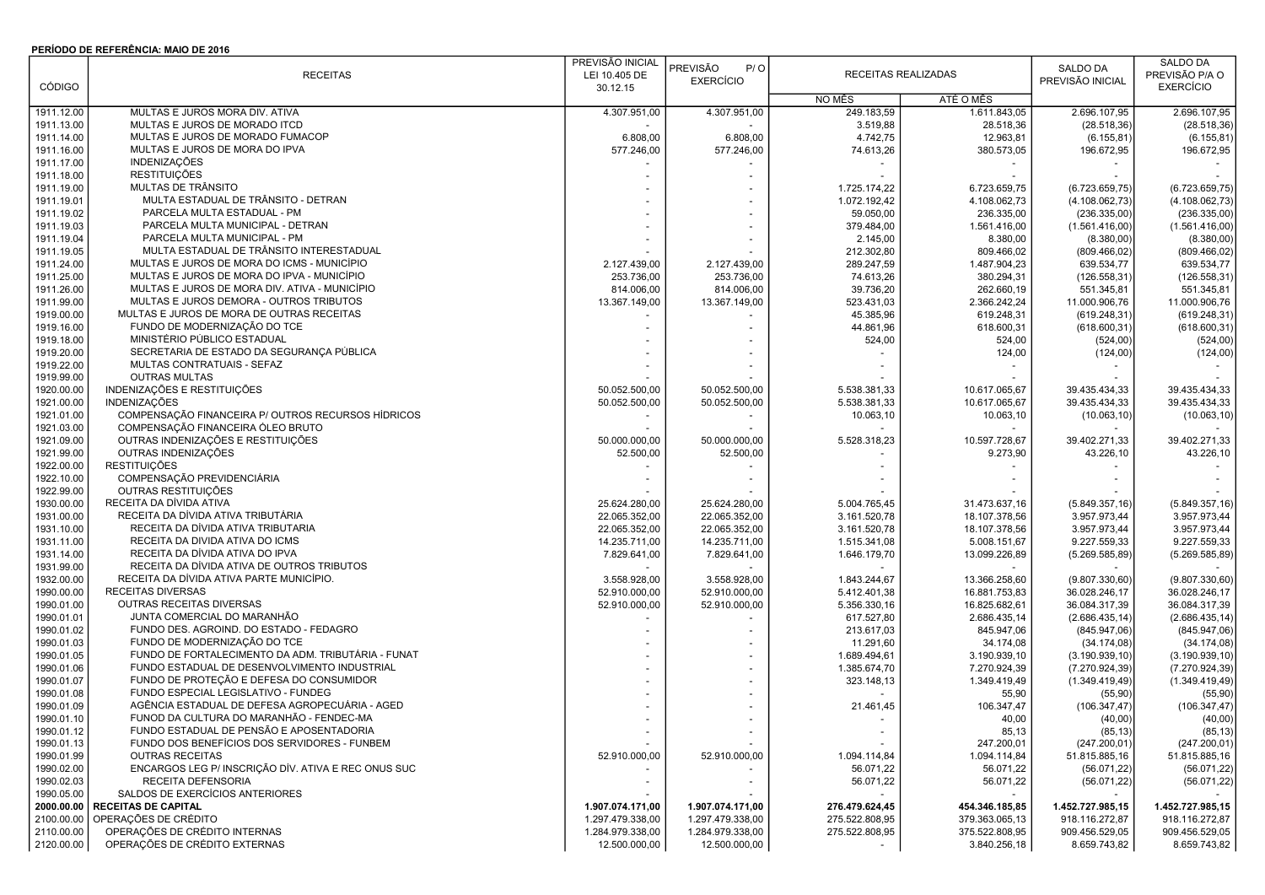## PERÍODO DE REFERÊNCIA: MAIO DE 2016

|               |                                                     | PREVISÃO INICIAL |                        |                     |                |                  | SALDO DA         |
|---------------|-----------------------------------------------------|------------------|------------------------|---------------------|----------------|------------------|------------------|
|               | <b>RECEITAS</b>                                     | LEI 10.405 DE    | <b>PREVISÃO</b><br>P/O | RECEITAS REALIZADAS |                | SALDO DA         | PREVISÃO P/A O   |
| <b>CÓDIGO</b> |                                                     | 30.12.15         | <b>EXERCÍCIO</b>       |                     |                | PREVISÃO INICIAL | <b>EXERCÍCIO</b> |
|               |                                                     |                  |                        | NO MÊS              | ATÉ O MÊS      |                  |                  |
| 1911.12.00    | MULTAS E JUROS MORA DIV. ATIVA                      | 4.307.951,00     | 4.307.951,00           | 249.183,59          | 1.611.843,05   | 2.696.107,95     | 2.696.107,95     |
| 1911.13.00    | MULTAS E JUROS DE MORADO ITCD                       |                  |                        | 3.519,88            | 28.518,36      | (28.518, 36)     | (28.518, 36)     |
| 1911.14.00    | MULTAS E JUROS DE MORADO FUMACOP                    | 6.808,00         | 6.808,00               | 4.742,75            | 12.963,81      | (6.155, 81)      | (6.155, 81)      |
| 1911.16.00    | MULTAS E JUROS DE MORA DO IPVA                      | 577.246,00       | 577.246,00             | 74.613,26           | 380.573,05     | 196.672,95       | 196.672,95       |
| 1911.17.00    | <b>INDENIZACÕES</b>                                 |                  |                        |                     |                |                  |                  |
| 1911.18.00    | <b>RESTITUIÇÕES</b>                                 |                  |                        |                     |                |                  |                  |
| 1911.19.00    | MULTAS DE TRÂNSITO                                  |                  |                        | 1.725.174,22        | 6.723.659,75   | (6.723.659,75)   | (6.723.659,75)   |
| 1911.19.01    | MULTA ESTADUAL DE TRÂNSITO - DETRAN                 |                  |                        | 1.072.192,42        | 4.108.062,73   | (4.108.062,73)   | (4.108.062,73)   |
| 1911.19.02    | PARCELA MULTA ESTADUAL - PM                         |                  |                        | 59.050,00           | 236.335,00     | (236.335,00)     | (236.335,00)     |
| 1911.19.03    | PARCELA MULTA MUNICIPAL - DETRAN                    |                  |                        | 379.484,00          | 1.561.416,00   | (1.561.416,00)   | (1.561.416,00)   |
| 1911.19.04    | PARCELA MULTA MUNICIPAL - PM                        |                  |                        | 2.145,00            | 8.380,00       |                  | (8.380,00)       |
|               | MULTA ESTADUAL DE TRÂNSITO INTERESTADUAL            |                  |                        |                     |                | (8.380,00)       |                  |
| 1911.19.05    | MULTAS E JUROS DE MORA DO ICMS - MUNICÍPIO          |                  |                        | 212.302,80          | 809.466,02     | (809.466, 02)    | (809.466, 02)    |
| 1911.24.00    |                                                     | 2.127.439,00     | 2.127.439,00           | 289.247,59          | 1.487.904,23   | 639.534,77       | 639.534,77       |
| 1911.25.00    | MULTAS E JUROS DE MORA DO IPVA - MUNICÍPIO          | 253.736,00       | 253.736,00             | 74.613,26           | 380.294,31     | (126.558, 31)    | (126.558, 31)    |
| 1911.26.00    | MULTAS E JUROS DE MORA DIV. ATIVA - MUNICÍPIO       | 814.006,00       | 814.006,00             | 39.736,20           | 262.660,19     | 551.345,81       | 551.345,81       |
| 1911.99.00    | MULTAS E JUROS DEMORA - OUTROS TRIBUTOS             | 13.367.149,00    | 13.367.149,00          | 523.431,03          | 2.366.242,24   | 11.000.906,76    | 11.000.906,76    |
| 1919.00.00    | MULTAS E JUROS DE MORA DE OUTRAS RECEITAS           |                  |                        | 45.385,96           | 619.248,31     | (619.248, 31)    | (619.248, 31)    |
| 1919.16.00    | FUNDO DE MODERNIZAÇÃO DO TCE                        |                  |                        | 44.861,96           | 618.600,31     | (618.600, 31)    | (618.600, 31)    |
| 1919.18.00    | MINISTÉRIO PÚBLICO ESTADUAL                         |                  |                        | 524,00              | 524,00         | (524,00)         | (524,00)         |
| 1919.20.00    | SECRETARIA DE ESTADO DA SEGURANÇA PÚBLICA           |                  |                        |                     | 124,00         | (124,00)         | (124,00)         |
| 1919.22.00    | MULTAS CONTRATUAIS - SEFAZ                          |                  |                        |                     |                |                  |                  |
| 1919.99.00    | <b>OUTRAS MULTAS</b>                                |                  |                        |                     |                |                  |                  |
| 1920.00.00    | INDENIZAÇÕES E RESTITUIÇÕES                         | 50.052.500,00    | 50.052.500,00          | 5.538.381,33        | 10.617.065,67  | 39.435.434,33    | 39.435.434,33    |
| 1921.00.00    | INDENIZAÇÕES                                        | 50.052.500,00    | 50.052.500,00          | 5.538.381,33        | 10.617.065,67  | 39.435.434,33    | 39.435.434,33    |
| 1921.01.00    | COMPENSAÇÃO FINANCEIRA P/ OUTROS RECURSOS HÍDRICOS  |                  |                        | 10.063,10           | 10.063,10      | (10.063, 10)     | (10.063, 10)     |
| 1921.03.00    | COMPENSAÇÃO FINANCEIRA ÓLEO BRUTO                   |                  |                        |                     |                |                  |                  |
| 1921.09.00    | OUTRAS INDENIZAÇÕES E RESTITUIÇÕES                  | 50.000.000,00    | 50.000.000,00          | 5.528.318,23        | 10.597.728,67  | 39.402.271,33    | 39.402.271,33    |
| 1921.99.00    | OUTRAS INDENIZAÇÕES                                 | 52.500,00        | 52.500,00              |                     | 9.273,90       | 43.226,10        | 43.226,10        |
| 1922.00.00    | <b>RESTITUIÇÕES</b>                                 |                  |                        |                     |                |                  |                  |
| 1922.10.00    | COMPENSAÇÃO PREVIDENCIÁRIA                          |                  |                        |                     |                |                  |                  |
| 1922.99.00    | OUTRAS RESTITUIÇÕES                                 |                  |                        |                     |                |                  |                  |
| 1930.00.00    | RECEITA DA DÍVIDA ATIVA                             | 25.624.280,00    | 25.624.280,00          | 5.004.765,45        | 31.473.637,16  | (5.849.357, 16)  | (5.849.357, 16)  |
| 1931.00.00    | RECEITA DA DÍVIDA ATIVA TRIBUTÁRIA                  | 22.065.352,00    | 22.065.352,00          | 3.161.520,78        | 18.107.378,56  | 3.957.973,44     | 3.957.973,44     |
| 1931.10.00    | RECEITA DA DÍVIDA ATIVA TRIBUTARIA                  | 22.065.352,00    | 22.065.352,00          | 3.161.520,78        | 18.107.378,56  | 3.957.973,44     | 3.957.973,44     |
|               | RECEITA DA DIVIDA ATIVA DO ICMS                     | 14.235.711,00    | 14.235.711,00          | 1.515.341,08        | 5.008.151,67   | 9.227.559,33     | 9.227.559,33     |
| 1931.11.00    | RECEITA DA DÍVIDA ATIVA DO IPVA                     |                  |                        |                     |                |                  |                  |
| 1931.14.00    | RECEITA DA DÍVIDA ATIVA DE OUTROS TRIBUTOS          | 7.829.641,00     | 7.829.641,00           | 1.646.179,70        | 13.099.226,89  | (5.269.585, 89)  | (5.269.585, 89)  |
| 1931.99.00    |                                                     |                  |                        |                     |                |                  |                  |
| 1932.00.00    | RECEITA DA DÍVIDA ATIVA PARTE MUNICÍPIO.            | 3.558.928,00     | 3.558.928,00           | 1.843.244,67        | 13.366.258,60  | (9.807.330,60)   | (9.807.330,60)   |
| 1990.00.00    | <b>RECEITAS DIVERSAS</b>                            | 52.910.000,00    | 52.910.000,00          | 5.412.401,38        | 16.881.753,83  | 36.028.246,17    | 36.028.246,17    |
| 1990.01.00    | OUTRAS RECEITAS DIVERSAS                            | 52.910.000,00    | 52.910.000,00          | 5.356.330,16        | 16.825.682,61  | 36.084.317,39    | 36.084.317,39    |
| 1990.01.01    | JUNTA COMERCIAL DO MARANHÃO                         |                  |                        | 617.527,80          | 2.686.435,14   | (2.686.435, 14)  | (2.686.435, 14)  |
| 1990.01.02    | FUNDO DES. AGROIND. DO ESTADO - FEDAGRO             |                  |                        | 213.617,03          | 845.947,06     | (845.947,06)     | (845.947,06)     |
| 1990.01.03    | FUNDO DE MODERNIZAÇÃO DO TCE                        |                  |                        | 11.291,60           | 34.174,08      | (34.174,08)      | (34.174,08)      |
| 1990.01.05    | FUNDO DE FORTALECIMENTO DA ADM. TRIBUTÁRIA - FUNAT  |                  |                        | 1.689.494,61        | 3.190.939,10   | (3.190.939, 10)  | (3.190.939, 10)  |
| 1990.01.06    | FUNDO ESTADUAL DE DESENVOLVIMENTO INDUSTRIAL        |                  |                        | 1.385.674,70        | 7.270.924,39   | (7.270.924, 39)  | (7.270.924, 39)  |
| 1990.01.07    | FUNDO DE PROTEÇÃO E DEFESA DO CONSUMIDOR            |                  |                        | 323.148,13          | 1.349.419,49   | (1.349.419, 49)  | (1.349.419, 49)  |
| 1990.01.08    | FUNDO ESPECIAL LEGISLATIVO - FUNDEG                 |                  |                        |                     | 55,90          | (55, 90)         | (55, 90)         |
| 1990.01.09    | AGÊNCIA ESTADUAL DE DEFESA AGROPECUÁRIA - AGED      |                  |                        | 21.461,45           | 106.347,47     | (106.347, 47)    | (106.347, 47)    |
| 1990.01.10    | FUNOD DA CULTURA DO MARANHÃO - FENDEC-MA            |                  |                        |                     | 40,00          | (40,00)          | (40,00)          |
| 1990.01.12    | FUNDO ESTADUAL DE PENSÃO E APOSENTADORIA            |                  |                        |                     | 85,13          | (85, 13)         | (85, 13)         |
| 1990.01.13    | FUNDO DOS BENEFÍCIOS DOS SERVIDORES - FUNBEM        |                  |                        |                     | 247.200,01     | (247.200, 01)    | (247.200, 01)    |
| 1990.01.99    | <b>OUTRAS RECEITAS</b>                              | 52.910.000,00    | 52.910.000,00          | 1.094.114,84        | 1.094.114,84   | 51.815.885,16    | 51.815.885,16    |
| 1990.02.00    | ENCARGOS LEG P/ INSCRIÇÃO DÍV. ATIVA E REC ONUS SUC |                  |                        | 56.071,22           | 56.071,22      | (56.071, 22)     | (56.071, 22)     |
| 1990.02.03    | RECEITA DEFENSORIA                                  |                  |                        | 56.071,22           | 56.071,22      | (56.071, 22)     | (56.071, 22)     |
| 1990.05.00    | SALDOS DE EXERCÍCIOS ANTERIORES                     |                  |                        |                     |                |                  |                  |
| 2000.00.00    | <b>RECEITAS DE CAPITAL</b>                          | 1.907.074.171,00 | 1.907.074.171,00       | 276.479.624,45      | 454.346.185,85 | 1.452.727.985,15 | 1.452.727.985,15 |
| 2100.00.00    | OPERAÇÕES DE CRÉDITO                                | 1.297.479.338,00 | 1.297.479.338,00       | 275.522.808,95      | 379.363.065,13 | 918.116.272,87   | 918.116.272,87   |
| 2110.00.00    | OPERAÇÕES DE CRÉDITO INTERNAS                       | 1.284.979.338,00 | 1.284.979.338,00       | 275.522.808,95      | 375.522.808,95 | 909.456.529,05   | 909.456.529,05   |
| 2120.00.00    | OPERAÇÕES DE CRÉDITO EXTERNAS                       | 12.500.000,00    | 12.500.000,00          |                     | 3.840.256,18   | 8.659.743,82     | 8.659.743,82     |
|               |                                                     |                  |                        |                     |                |                  |                  |